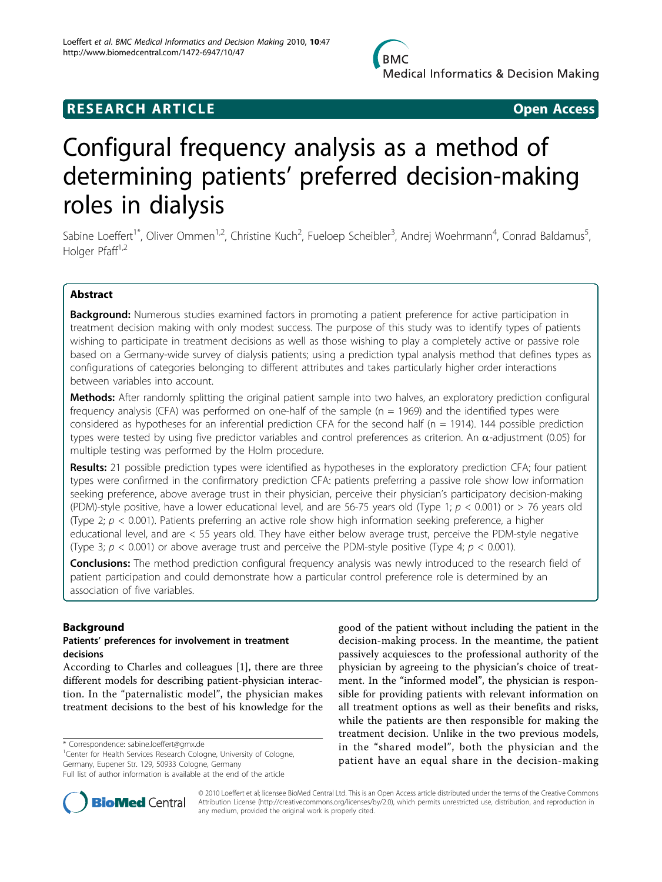

## **RESEARCH ARTICLE Example 2018 12:00 Department of the Contract Open Access**

# Configural frequency analysis as a method of determining patients' preferred decision-making roles in dialysis

Sabine Loeffert<sup>1\*</sup>, Oliver Ommen<sup>1,2</sup>, Christine Kuch<sup>2</sup>, Fueloep Scheibler<sup>3</sup>, Andrej Woehrmann<sup>4</sup>, Conrad Baldamus<sup>5</sup> , Holger Pfaff<sup>1,2</sup>

## Abstract

**Background:** Numerous studies examined factors in promoting a patient preference for active participation in treatment decision making with only modest success. The purpose of this study was to identify types of patients wishing to participate in treatment decisions as well as those wishing to play a completely active or passive role based on a Germany-wide survey of dialysis patients; using a prediction typal analysis method that defines types as configurations of categories belonging to different attributes and takes particularly higher order interactions between variables into account.

Methods: After randomly splitting the original patient sample into two halves, an exploratory prediction configural frequency analysis (CFA) was performed on one-half of the sample ( $n = 1969$ ) and the identified types were considered as hypotheses for an inferential prediction CFA for the second half ( $n = 1914$ ). 144 possible prediction types were tested by using five predictor variables and control preferences as criterion. An  $\alpha$ -adjustment (0.05) for multiple testing was performed by the Holm procedure.

Results: 21 possible prediction types were identified as hypotheses in the exploratory prediction CFA; four patient types were confirmed in the confirmatory prediction CFA: patients preferring a passive role show low information seeking preference, above average trust in their physician, perceive their physician's participatory decision-making (PDM)-style positive, have a lower educational level, and are 56-75 years old (Type 1;  $p < 0.001$ ) or  $> 76$  years old (Type 2;  $p < 0.001$ ). Patients preferring an active role show high information seeking preference, a higher educational level, and are < 55 years old. They have either below average trust, perceive the PDM-style negative (Type 3;  $p < 0.001$ ) or above average trust and perceive the PDM-style positive (Type 4;  $p < 0.001$ ).

**Conclusions:** The method prediction configural frequency analysis was newly introduced to the research field of patient participation and could demonstrate how a particular control preference role is determined by an association of five variables.

## Background

## Patients' preferences for involvement in treatment decisions

According to Charles and colleagues [\[1](#page-8-0)], there are three different models for describing patient-physician interaction. In the "paternalistic model", the physician makes treatment decisions to the best of his knowledge for the

\* Correspondence: [sabine.loeffert@gmx.de](mailto:sabine.loeffert@gmx.de)

<sup>1</sup> Center for Health Services Research Cologne, University of Cologne, Germany, Eupener Str. 129, 50933 Cologne, Germany

Full list of author information is available at the end of the article





© 2010 Loeffert et al; licensee BioMed Central Ltd. This is an Open Access article distributed under the terms of the Creative Commons Attribution License [\(http://creativecommons.org/licenses/by/2.0](http://creativecommons.org/licenses/by/2.0)), which permits unrestricted use, distribution, and reproduction in any medium, provided the original work is properly cited.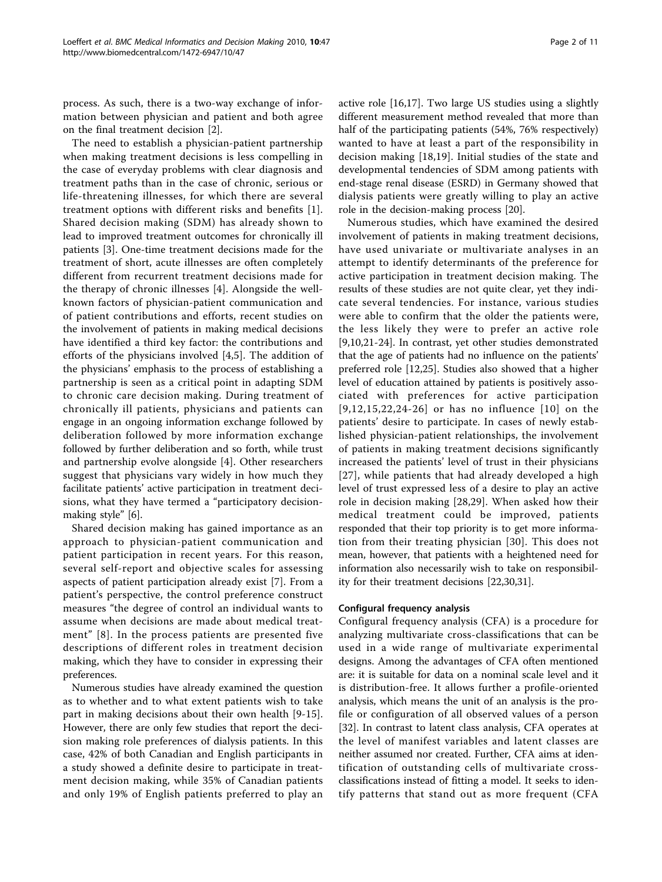process. As such, there is a two-way exchange of information between physician and patient and both agree on the final treatment decision [\[2\]](#page-9-0).

The need to establish a physician-patient partnership when making treatment decisions is less compelling in the case of everyday problems with clear diagnosis and treatment paths than in the case of chronic, serious or life-threatening illnesses, for which there are several treatment options with different risks and benefits [[1](#page-8-0)]. Shared decision making (SDM) has already shown to lead to improved treatment outcomes for chronically ill patients [[3\]](#page-9-0). One-time treatment decisions made for the treatment of short, acute illnesses are often completely different from recurrent treatment decisions made for the therapy of chronic illnesses [[4\]](#page-9-0). Alongside the wellknown factors of physician-patient communication and of patient contributions and efforts, recent studies on the involvement of patients in making medical decisions have identified a third key factor: the contributions and efforts of the physicians involved [\[4](#page-9-0),[5\]](#page-9-0). The addition of the physicians' emphasis to the process of establishing a partnership is seen as a critical point in adapting SDM to chronic care decision making. During treatment of chronically ill patients, physicians and patients can engage in an ongoing information exchange followed by deliberation followed by more information exchange followed by further deliberation and so forth, while trust and partnership evolve alongside [[4\]](#page-9-0). Other researchers suggest that physicians vary widely in how much they facilitate patients' active participation in treatment decisions, what they have termed a "participatory decisionmaking style" [\[6\]](#page-9-0).

Shared decision making has gained importance as an approach to physician-patient communication and patient participation in recent years. For this reason, several self-report and objective scales for assessing aspects of patient participation already exist [[7\]](#page-9-0). From a patient's perspective, the control preference construct measures "the degree of control an individual wants to assume when decisions are made about medical treatment" [\[8\]](#page-9-0). In the process patients are presented five descriptions of different roles in treatment decision making, which they have to consider in expressing their preferences.

Numerous studies have already examined the question as to whether and to what extent patients wish to take part in making decisions about their own health [[9-15](#page-9-0)]. However, there are only few studies that report the decision making role preferences of dialysis patients. In this case, 42% of both Canadian and English participants in a study showed a definite desire to participate in treatment decision making, while 35% of Canadian patients and only 19% of English patients preferred to play an active role [[16,17\]](#page-9-0). Two large US studies using a slightly different measurement method revealed that more than half of the participating patients (54%, 76% respectively) wanted to have at least a part of the responsibility in decision making [[18,19](#page-9-0)]. Initial studies of the state and developmental tendencies of SDM among patients with end-stage renal disease (ESRD) in Germany showed that dialysis patients were greatly willing to play an active role in the decision-making process [[20](#page-9-0)].

Numerous studies, which have examined the desired involvement of patients in making treatment decisions, have used univariate or multivariate analyses in an attempt to identify determinants of the preference for active participation in treatment decision making. The results of these studies are not quite clear, yet they indicate several tendencies. For instance, various studies were able to confirm that the older the patients were, the less likely they were to prefer an active role [[9,10,21-24](#page-9-0)]. In contrast, yet other studies demonstrated that the age of patients had no influence on the patients' preferred role [\[12,25](#page-9-0)]. Studies also showed that a higher level of education attained by patients is positively associated with preferences for active participation [[9,12](#page-9-0),[15](#page-9-0),[22,24](#page-9-0)-[26\]](#page-9-0) or has no influence [[10\]](#page-9-0) on the patients' desire to participate. In cases of newly established physician-patient relationships, the involvement of patients in making treatment decisions significantly increased the patients' level of trust in their physicians [[27](#page-9-0)], while patients that had already developed a high level of trust expressed less of a desire to play an active role in decision making [\[28,29\]](#page-9-0). When asked how their medical treatment could be improved, patients responded that their top priority is to get more information from their treating physician [[30](#page-9-0)]. This does not mean, however, that patients with a heightened need for information also necessarily wish to take on responsibility for their treatment decisions [[22,30,31](#page-9-0)].

## Configural frequency analysis

Configural frequency analysis (CFA) is a procedure for analyzing multivariate cross-classifications that can be used in a wide range of multivariate experimental designs. Among the advantages of CFA often mentioned are: it is suitable for data on a nominal scale level and it is distribution-free. It allows further a profile-oriented analysis, which means the unit of an analysis is the profile or configuration of all observed values of a person [[32\]](#page-9-0). In contrast to latent class analysis, CFA operates at the level of manifest variables and latent classes are neither assumed nor created. Further, CFA aims at identification of outstanding cells of multivariate crossclassifications instead of fitting a model. It seeks to identify patterns that stand out as more frequent (CFA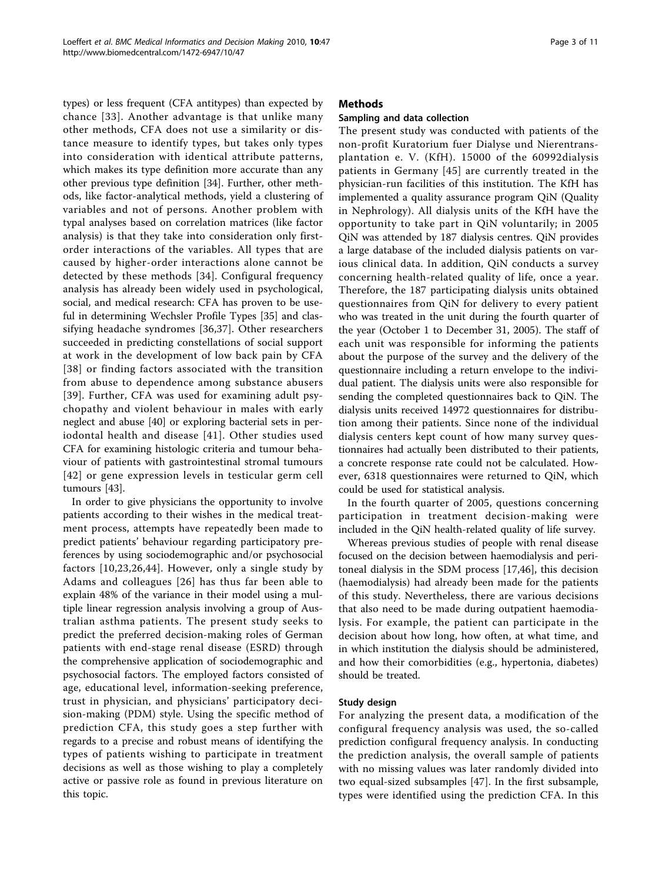types) or less frequent (CFA antitypes) than expected by chance [[33](#page-9-0)]. Another advantage is that unlike many other methods, CFA does not use a similarity or distance measure to identify types, but takes only types into consideration with identical attribute patterns, which makes its type definition more accurate than any other previous type definition [\[34\]](#page-9-0). Further, other methods, like factor-analytical methods, yield a clustering of variables and not of persons. Another problem with typal analyses based on correlation matrices (like factor analysis) is that they take into consideration only firstorder interactions of the variables. All types that are caused by higher-order interactions alone cannot be detected by these methods [[34\]](#page-9-0). Configural frequency analysis has already been widely used in psychological, social, and medical research: CFA has proven to be useful in determining Wechsler Profile Types [\[35](#page-9-0)] and classifying headache syndromes [[36,37](#page-9-0)]. Other researchers succeeded in predicting constellations of social support at work in the development of low back pain by CFA [[38\]](#page-9-0) or finding factors associated with the transition from abuse to dependence among substance abusers [[39](#page-9-0)]. Further, CFA was used for examining adult psychopathy and violent behaviour in males with early neglect and abuse [[40](#page-9-0)] or exploring bacterial sets in periodontal health and disease [[41\]](#page-9-0). Other studies used CFA for examining histologic criteria and tumour behaviour of patients with gastrointestinal stromal tumours [[42\]](#page-9-0) or gene expression levels in testicular germ cell tumours [\[43](#page-9-0)].

In order to give physicians the opportunity to involve patients according to their wishes in the medical treatment process, attempts have repeatedly been made to predict patients' behaviour regarding participatory preferences by using sociodemographic and/or psychosocial factors [[10](#page-9-0),[23,26,44](#page-9-0)]. However, only a single study by Adams and colleagues [[26\]](#page-9-0) has thus far been able to explain 48% of the variance in their model using a multiple linear regression analysis involving a group of Australian asthma patients. The present study seeks to predict the preferred decision-making roles of German patients with end-stage renal disease (ESRD) through the comprehensive application of sociodemographic and psychosocial factors. The employed factors consisted of age, educational level, information-seeking preference, trust in physician, and physicians' participatory decision-making (PDM) style. Using the specific method of prediction CFA, this study goes a step further with regards to a precise and robust means of identifying the types of patients wishing to participate in treatment decisions as well as those wishing to play a completely active or passive role as found in previous literature on this topic.

## Methods

## Sampling and data collection

The present study was conducted with patients of the non-profit Kuratorium fuer Dialyse und Nierentransplantation e. V. (KfH). 15000 of the 60992dialysis patients in Germany [[45\]](#page-9-0) are currently treated in the physician-run facilities of this institution. The KfH has implemented a quality assurance program QiN (Quality in Nephrology). All dialysis units of the KfH have the opportunity to take part in QiN voluntarily; in 2005 QiN was attended by 187 dialysis centres. QiN provides a large database of the included dialysis patients on various clinical data. In addition, QiN conducts a survey concerning health-related quality of life, once a year. Therefore, the 187 participating dialysis units obtained questionnaires from QiN for delivery to every patient who was treated in the unit during the fourth quarter of the year (October 1 to December 31, 2005). The staff of each unit was responsible for informing the patients about the purpose of the survey and the delivery of the questionnaire including a return envelope to the individual patient. The dialysis units were also responsible for sending the completed questionnaires back to QiN. The dialysis units received 14972 questionnaires for distribution among their patients. Since none of the individual dialysis centers kept count of how many survey questionnaires had actually been distributed to their patients, a concrete response rate could not be calculated. However, 6318 questionnaires were returned to QiN, which could be used for statistical analysis.

In the fourth quarter of 2005, questions concerning participation in treatment decision-making were included in the QiN health-related quality of life survey.

Whereas previous studies of people with renal disease focused on the decision between haemodialysis and peritoneal dialysis in the SDM process [[17,46\]](#page-9-0), this decision (haemodialysis) had already been made for the patients of this study. Nevertheless, there are various decisions that also need to be made during outpatient haemodialysis. For example, the patient can participate in the decision about how long, how often, at what time, and in which institution the dialysis should be administered, and how their comorbidities (e.g., hypertonia, diabetes) should be treated.

## Study design

For analyzing the present data, a modification of the configural frequency analysis was used, the so-called prediction configural frequency analysis. In conducting the prediction analysis, the overall sample of patients with no missing values was later randomly divided into two equal-sized subsamples [\[47](#page-9-0)]. In the first subsample, types were identified using the prediction CFA. In this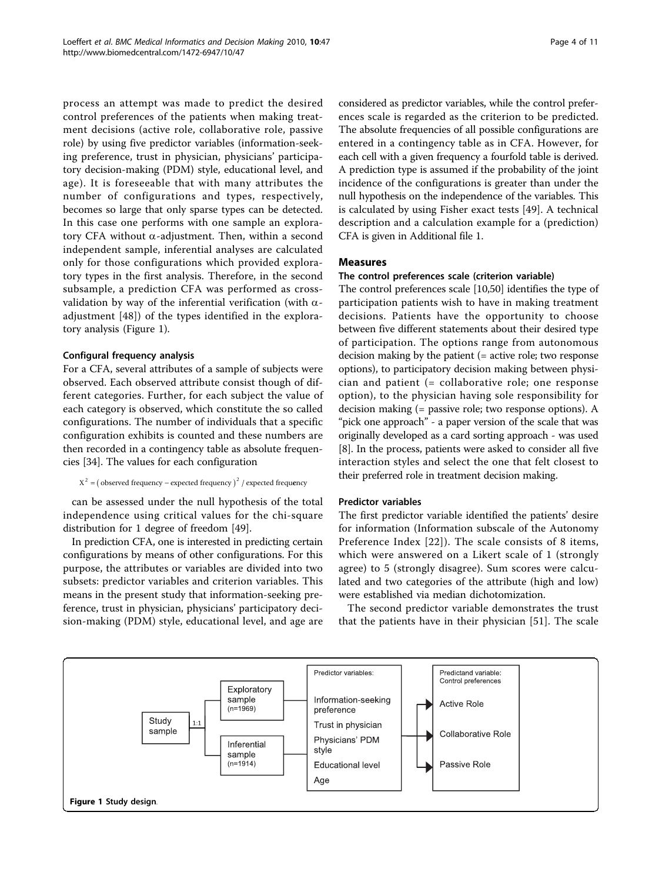process an attempt was made to predict the desired control preferences of the patients when making treatment decisions (active role, collaborative role, passive role) by using five predictor variables (information-seeking preference, trust in physician, physicians' participatory decision-making (PDM) style, educational level, and age). It is foreseeable that with many attributes the number of configurations and types, respectively, becomes so large that only sparse types can be detected. In this case one performs with one sample an exploratory CFA without  $\alpha$ -adjustment. Then, within a second independent sample, inferential analyses are calculated only for those configurations which provided exploratory types in the first analysis. Therefore, in the second subsample, a prediction CFA was performed as crossvalidation by way of the inferential verification (with  $\alpha$ adjustment [\[48](#page-9-0)]) of the types identified in the exploratory analysis (Figure 1).

## Configural frequency analysis

For a CFA, several attributes of a sample of subjects were observed. Each observed attribute consist though of different categories. Further, for each subject the value of each category is observed, which constitute the so called configurations. The number of individuals that a specific configuration exhibits is counted and these numbers are then recorded in a contingency table as absolute frequencies [[34](#page-9-0)]. The values for each configuration

## $X^2 =$  (observed frequency – expected frequency )<sup>2</sup> / expected frequency

can be assessed under the null hypothesis of the total independence using critical values for the chi-square distribution for 1 degree of freedom [\[49](#page-10-0)].

In prediction CFA, one is interested in predicting certain configurations by means of other configurations. For this purpose, the attributes or variables are divided into two subsets: predictor variables and criterion variables. This means in the present study that information-seeking preference, trust in physician, physicians' participatory decision-making (PDM) style, educational level, and age are considered as predictor variables, while the control preferences scale is regarded as the criterion to be predicted. The absolute frequencies of all possible configurations are entered in a contingency table as in CFA. However, for each cell with a given frequency a fourfold table is derived. A prediction type is assumed if the probability of the joint incidence of the configurations is greater than under the null hypothesis on the independence of the variables. This is calculated by using Fisher exact tests [\[49](#page-10-0)]. A technical description and a calculation example for a (prediction) CFA is given in Additional file [1.](#page-8-0)

## Measures

## The control preferences scale (criterion variable)

The control preferences scale [\[10,](#page-9-0)[50\]](#page-10-0) identifies the type of participation patients wish to have in making treatment decisions. Patients have the opportunity to choose between five different statements about their desired type of participation. The options range from autonomous decision making by the patient (= active role; two response options), to participatory decision making between physician and patient (= collaborative role; one response option), to the physician having sole responsibility for decision making (= passive role; two response options). A "pick one approach" - a paper version of the scale that was originally developed as a card sorting approach - was used [[8\]](#page-9-0). In the process, patients were asked to consider all five interaction styles and select the one that felt closest to their preferred role in treatment decision making.

## Predictor variables

The first predictor variable identified the patients' desire for information (Information subscale of the Autonomy Preference Index [[22](#page-9-0)]). The scale consists of 8 items, which were answered on a Likert scale of 1 (strongly agree) to 5 (strongly disagree). Sum scores were calculated and two categories of the attribute (high and low) were established via median dichotomization.

The second predictor variable demonstrates the trust that the patients have in their physician [[51\]](#page-10-0). The scale

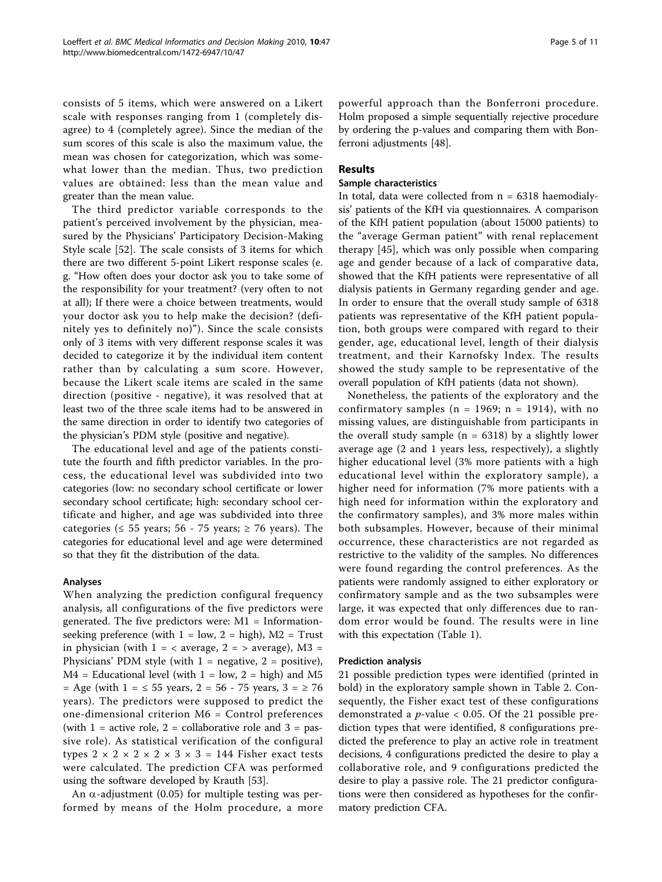consists of 5 items, which were answered on a Likert scale with responses ranging from 1 (completely disagree) to 4 (completely agree). Since the median of the sum scores of this scale is also the maximum value, the mean was chosen for categorization, which was somewhat lower than the median. Thus, two prediction values are obtained: less than the mean value and greater than the mean value.

The third predictor variable corresponds to the patient's perceived involvement by the physician, measured by the Physicians' Participatory Decision-Making Style scale [[52\]](#page-10-0). The scale consists of 3 items for which there are two different 5-point Likert response scales (e. g. "How often does your doctor ask you to take some of the responsibility for your treatment? (very often to not at all); If there were a choice between treatments, would your doctor ask you to help make the decision? (definitely yes to definitely no)"). Since the scale consists only of 3 items with very different response scales it was decided to categorize it by the individual item content rather than by calculating a sum score. However, because the Likert scale items are scaled in the same direction (positive - negative), it was resolved that at least two of the three scale items had to be answered in the same direction in order to identify two categories of the physician's PDM style (positive and negative).

The educational level and age of the patients constitute the fourth and fifth predictor variables. In the process, the educational level was subdivided into two categories (low: no secondary school certificate or lower secondary school certificate; high: secondary school certificate and higher, and age was subdivided into three categories ( $\leq 55$  years; 56 - 75 years;  $\geq 76$  years). The categories for educational level and age were determined so that they fit the distribution of the data.

## Analyses

When analyzing the prediction configural frequency analysis, all configurations of the five predictors were generated. The five predictors were:  $M1 =$  Informationseeking preference (with  $1 = low$ ,  $2 = high$ ),  $M2 = Trust$ in physician (with  $1 = \langle$  average,  $2 = \rangle$  average), M3 = Physicians' PDM style (with  $1 =$  negative,  $2 =$  positive),  $M4$  = Educational level (with  $1 =$  low,  $2 =$  high) and M5 = Age (with  $1 = \le 55$  years,  $2 = 56 - 75$  years,  $3 = \ge 76$ years). The predictors were supposed to predict the one-dimensional criterion M6 = Control preferences (with  $1 =$  active role,  $2 =$  collaborative role and  $3 =$  passive role). As statistical verification of the configural types  $2 \times 2 \times 2 \times 2 \times 3 \times 3 = 144$  Fisher exact tests were calculated. The prediction CFA was performed using the software developed by Krauth [\[53](#page-10-0)].

An  $\alpha$ -adjustment (0.05) for multiple testing was performed by means of the Holm procedure, a more

powerful approach than the Bonferroni procedure. Holm proposed a simple sequentially rejective procedure by ordering the p-values and comparing them with Bonferroni adjustments [[48\]](#page-9-0).

## Results

## Sample characteristics

In total, data were collected from  $n = 6318$  haemodialysis' patients of the KfH via questionnaires. A comparison of the KfH patient population (about 15000 patients) to the "average German patient" with renal replacement therapy [[45](#page-9-0)], which was only possible when comparing age and gender because of a lack of comparative data, showed that the KfH patients were representative of all dialysis patients in Germany regarding gender and age. In order to ensure that the overall study sample of 6318 patients was representative of the KfH patient population, both groups were compared with regard to their gender, age, educational level, length of their dialysis treatment, and their Karnofsky Index. The results showed the study sample to be representative of the overall population of KfH patients (data not shown).

Nonetheless, the patients of the exploratory and the confirmatory samples ( $n = 1969$ ;  $n = 1914$ ), with no missing values, are distinguishable from participants in the overall study sample ( $n = 6318$ ) by a slightly lower average age (2 and 1 years less, respectively), a slightly higher educational level (3% more patients with a high educational level within the exploratory sample), a higher need for information (7% more patients with a high need for information within the exploratory and the confirmatory samples), and 3% more males within both subsamples. However, because of their minimal occurrence, these characteristics are not regarded as restrictive to the validity of the samples. No differences were found regarding the control preferences. As the patients were randomly assigned to either exploratory or confirmatory sample and as the two subsamples were large, it was expected that only differences due to random error would be found. The results were in line with this expectation (Table [1\)](#page-5-0).

## Prediction analysis

21 possible prediction types were identified (printed in bold) in the exploratory sample shown in Table [2](#page-6-0). Consequently, the Fisher exact test of these configurations demonstrated a  $p$ -value < 0.05. Of the 21 possible prediction types that were identified, 8 configurations predicted the preference to play an active role in treatment decisions, 4 configurations predicted the desire to play a collaborative role, and 9 configurations predicted the desire to play a passive role. The 21 predictor configurations were then considered as hypotheses for the confirmatory prediction CFA.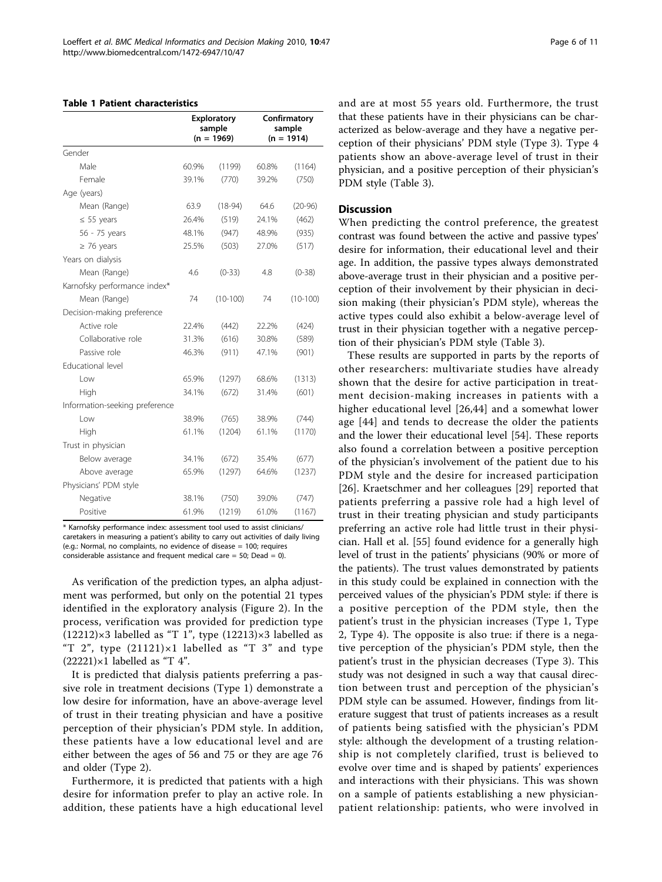#### <span id="page-5-0"></span>Table 1 Patient characteristics

|                                | <b>Exploratory</b><br>sample<br>$(n = 1969)$ |            | Confirmatory<br>sample<br>$(n = 1914)$ |            |
|--------------------------------|----------------------------------------------|------------|----------------------------------------|------------|
| Gender                         |                                              |            |                                        |            |
| Male                           | 60.9%                                        | (1199)     | 60.8%                                  | (1164)     |
| Female                         | 39.1%                                        | (770)      | 39.2%                                  | (750)      |
| Age (years)                    |                                              |            |                                        |            |
| Mean (Range)                   | 63.9                                         | $(18-94)$  | 64.6                                   | $(20-96)$  |
| $\leq$ 55 years                | 26.4%                                        | (519)      | 24.1%                                  | (462)      |
| 56 - 75 years                  | 48.1%                                        | (947)      | 48.9%                                  | (935)      |
| $\geq 76$ years                | 25.5%                                        | (503)      | 27.0%                                  | (517)      |
| Years on dialysis              |                                              |            |                                        |            |
| Mean (Range)                   | 4.6                                          | $(0-33)$   | 4.8                                    | $(0-38)$   |
| Karnofsky performance index*   |                                              |            |                                        |            |
| Mean (Range)                   | 74                                           | $(10-100)$ | 74                                     | $(10-100)$ |
| Decision-making preference     |                                              |            |                                        |            |
| Active role                    | 22.4%                                        | (442)      | 22.2%                                  | (424)      |
| Collaborative role             | 31.3%                                        | (616)      | 30.8%                                  | (589)      |
| Passive role                   | 46.3%                                        | (911)      | 47.1%                                  | (901)      |
| Educational level              |                                              |            |                                        |            |
| l ow                           | 65.9%                                        | (1297)     | 68.6%                                  | (1313)     |
| High                           | 34.1%                                        | (672)      | 31.4%                                  | (601)      |
| Information-seeking preference |                                              |            |                                        |            |
| l ow                           | 38.9%                                        | (765)      | 38.9%                                  | (744)      |
| High                           | 61.1%                                        | (1204)     | 61.1%                                  | (1170)     |
| Trust in physician             |                                              |            |                                        |            |
| Below average                  | 34.1%                                        | (672)      | 35.4%                                  | (677)      |
| Above average                  | 65.9%                                        | (1297)     | 64.6%                                  | (1237)     |
| Physicians' PDM style          |                                              |            |                                        |            |
| Negative                       | 38.1%                                        | (750)      | 39.0%                                  | (747)      |
| Positive                       | 61.9%                                        | (1219)     | 61.0%                                  | (1167)     |

\* Karnofsky performance index: assessment tool used to assist clinicians/ caretakers in measuring a patient's ability to carry out activities of daily living (e.g.: Normal, no complaints, no evidence of disease = 100; requires considerable assistance and frequent medical care = 50; Dead = 0).

As verification of the prediction types, an alpha adjustment was performed, but only on the potential 21 types identified in the exploratory analysis (Figure [2\)](#page-7-0). In the process, verification was provided for prediction type  $(12212)\times3$  labelled as "T 1", type  $(12213)\times3$  labelled as "T  $2$ ", type  $(21121)\times1$  labelled as "T  $3$ " and type  $(22221)\times1$  labelled as "T 4".

It is predicted that dialysis patients preferring a passive role in treatment decisions (Type 1) demonstrate a low desire for information, have an above-average level of trust in their treating physician and have a positive perception of their physician's PDM style. In addition, these patients have a low educational level and are either between the ages of 56 and 75 or they are age 76 and older (Type 2).

Furthermore, it is predicted that patients with a high desire for information prefer to play an active role. In addition, these patients have a high educational level and are at most 55 years old. Furthermore, the trust that these patients have in their physicians can be characterized as below-average and they have a negative perception of their physicians' PDM style (Type 3). Type 4 patients show an above-average level of trust in their physician, and a positive perception of their physician's PDM style (Table [3](#page-7-0)).

## **Discussion**

When predicting the control preference, the greatest contrast was found between the active and passive types' desire for information, their educational level and their age. In addition, the passive types always demonstrated above-average trust in their physician and a positive perception of their involvement by their physician in decision making (their physician's PDM style), whereas the active types could also exhibit a below-average level of trust in their physician together with a negative perception of their physician's PDM style (Table [3\)](#page-7-0).

These results are supported in parts by the reports of other researchers: multivariate studies have already shown that the desire for active participation in treatment decision-making increases in patients with a higher educational level [[26](#page-9-0),[44\]](#page-9-0) and a somewhat lower age [[44\]](#page-9-0) and tends to decrease the older the patients and the lower their educational level [\[54\]](#page-10-0). These reports also found a correlation between a positive perception of the physician's involvement of the patient due to his PDM style and the desire for increased participation [[26\]](#page-9-0). Kraetschmer and her colleagues [\[29](#page-9-0)] reported that patients preferring a passive role had a high level of trust in their treating physician and study participants preferring an active role had little trust in their physician. Hall et al. [[55](#page-10-0)] found evidence for a generally high level of trust in the patients' physicians (90% or more of the patients). The trust values demonstrated by patients in this study could be explained in connection with the perceived values of the physician's PDM style: if there is a positive perception of the PDM style, then the patient's trust in the physician increases (Type 1, Type 2, Type 4). The opposite is also true: if there is a negative perception of the physician's PDM style, then the patient's trust in the physician decreases (Type 3). This study was not designed in such a way that causal direction between trust and perception of the physician's PDM style can be assumed. However, findings from literature suggest that trust of patients increases as a result of patients being satisfied with the physician's PDM style: although the development of a trusting relationship is not completely clarified, trust is believed to evolve over time and is shaped by patients' experiences and interactions with their physicians. This was shown on a sample of patients establishing a new physicianpatient relationship: patients, who were involved in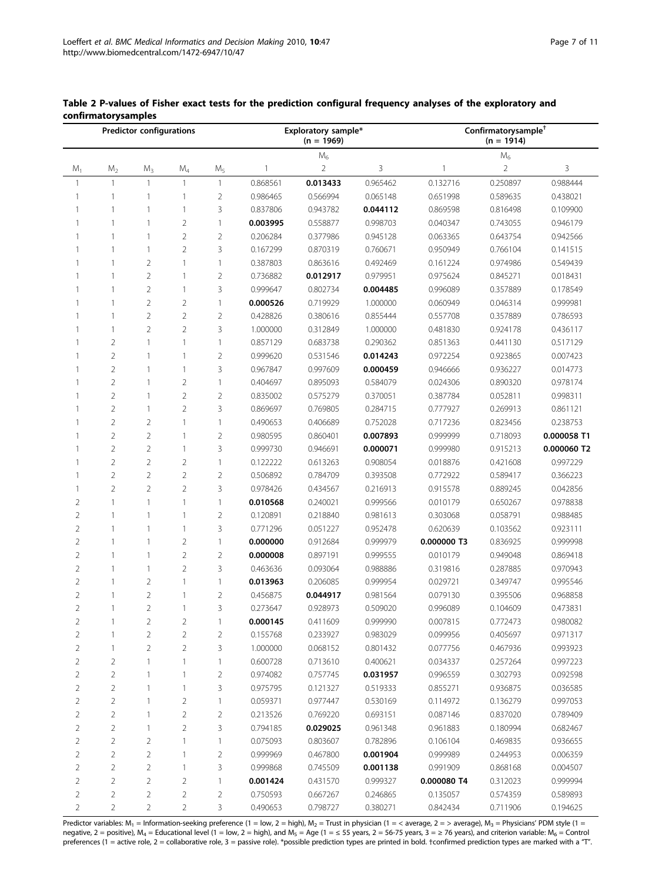|                | <b>Predictor configurations</b> |                |                | Exploratory sample*<br>$(n = 1969)$ |          |          | Confirmatorysample $^\dagger$<br>$(n = 1914)$ |             |                |             |
|----------------|---------------------------------|----------------|----------------|-------------------------------------|----------|----------|-----------------------------------------------|-------------|----------------|-------------|
|                |                                 |                |                |                                     |          | $M_6$    |                                               |             | $\mathsf{M}_6$ |             |
| $M_1$          | M <sub>2</sub>                  | $M_3$          | $M_4$          | $\mathsf{M}_5$                      | 1        | 2        | 3                                             | 1           | $\overline{2}$ | 3           |
| $\mathbf{1}$   | 1                               | 1              | $\mathbf{1}$   | $\mathbf{1}$                        | 0.868561 | 0.013433 | 0.965462                                      | 0.132716    | 0.250897       | 0.988444    |
| -1             | 1                               | 1              | $\overline{1}$ | 2                                   | 0.986465 | 0.566994 | 0.065148                                      | 0.651998    | 0.589635       | 0.438021    |
| 1              | 1                               |                | 1              | 3                                   | 0.837806 | 0.943782 | 0.044112                                      | 0.869598    | 0.816498       | 0.109900    |
|                | 1                               |                | $\overline{2}$ | $\mathbf{1}$                        | 0.003995 | 0.558877 | 0.998703                                      | 0.040347    | 0.743055       | 0.946179    |
| 1              | 1                               | 1              | $\overline{2}$ | $\overline{2}$                      | 0.206284 | 0.377986 | 0.945128                                      | 0.063365    | 0.643754       | 0.942566    |
|                | 1                               | 1              | $\overline{2}$ | 3                                   | 0.167299 | 0.870319 | 0.760671                                      | 0.950949    | 0.766104       | 0.141515    |
| 1              | 1                               | $\overline{2}$ | $\mathbf{1}$   | $\mathbf{1}$                        | 0.387803 | 0.863616 | 0.492469                                      | 0.161224    | 0.974986       | 0.549439    |
|                | 1                               | $\overline{2}$ | $\mathbf{1}$   | $\overline{2}$                      | 0.736882 | 0.012917 | 0.979951                                      | 0.975624    | 0.845271       | 0.018431    |
|                | 1                               | $\overline{2}$ | 1              | 3                                   | 0.999647 | 0.802734 | 0.004485                                      | 0.996089    | 0.357889       | 0.178549    |
|                | 1                               | $\overline{2}$ | 2              | $\mathbf{1}$                        | 0.000526 | 0.719929 | 1.000000                                      | 0.060949    | 0.046314       | 0.999981    |
|                | 1                               | $\overline{2}$ | $\overline{2}$ | $\overline{2}$                      | 0.428826 | 0.380616 | 0.855444                                      | 0.557708    | 0.357889       | 0.786593    |
|                | 1                               | $\overline{2}$ | $\overline{2}$ | 3                                   | 1.000000 | 0.312849 | 1.000000                                      | 0.481830    | 0.924178       | 0.436117    |
|                | $\overline{2}$                  | 1              | $\mathbf{1}$   | $\mathbf{1}$                        | 0.857129 | 0.683738 | 0.290362                                      | 0.851363    | 0.441130       | 0.517129    |
|                | $\overline{2}$                  |                | $\mathbf{1}$   | $\overline{2}$                      | 0.999620 | 0.531546 | 0.014243                                      | 0.972254    | 0.923865       | 0.007423    |
|                | $\overline{2}$                  | 1              | $\mathbf{1}$   | 3                                   | 0.967847 | 0.997609 | 0.000459                                      | 0.946666    | 0.936227       | 0.014773    |
|                | $\overline{2}$                  | 1              | $\overline{2}$ | $\mathbf{1}$                        | 0.404697 | 0.895093 | 0.584079                                      | 0.024306    | 0.890320       | 0.978174    |
|                | $\overline{2}$                  | 1              | $\overline{2}$ | $\overline{2}$                      | 0.835002 | 0.575279 | 0.370051                                      | 0.387784    | 0.052811       | 0.998311    |
|                | $\overline{2}$                  | 1              | $\overline{2}$ | 3                                   | 0.869697 | 0.769805 | 0.284715                                      | 0.777927    | 0.269913       | 0.861121    |
|                | $\overline{2}$                  | $\overline{2}$ | $\mathbf{1}$   | $\mathbf{1}$                        | 0.490653 | 0.406689 | 0.752028                                      | 0.717236    | 0.823456       | 0.238753    |
|                | $\overline{2}$                  | $\overline{2}$ | 1              | $\overline{2}$                      | 0.980595 | 0.860401 | 0.007893                                      | 0.999999    | 0.718093       | 0.000058 T1 |
|                | $\overline{2}$                  | $\overline{2}$ | 1              | 3                                   | 0.999730 | 0.946691 | 0.000071                                      | 0.999980    | 0.915213       | 0.000060 T2 |
|                | $\overline{2}$                  | $\overline{2}$ | $\overline{2}$ | $\mathbf{1}$                        | 0.122222 | 0.613263 | 0.908054                                      | 0.018876    | 0.421608       | 0.997229    |
|                | $\overline{2}$                  | $\overline{2}$ | 2              | $\overline{2}$                      | 0.506892 | 0.784709 | 0.393508                                      | 0.772922    | 0.589417       | 0.366223    |
| -1             | $\overline{2}$                  | $\overline{2}$ | $\overline{2}$ | 3                                   | 0.978426 | 0.434567 | 0.216913                                      | 0.915578    | 0.889245       | 0.042856    |
| $\overline{2}$ | $\mathbf{1}$                    | 1              | $\mathbf{1}$   | $\mathbf{1}$                        | 0.010568 | 0.240021 | 0.999566                                      | 0.010179    | 0.650267       | 0.978838    |
| $\overline{2}$ | 1                               | 1              | $\overline{1}$ | $\overline{2}$                      | 0.120891 | 0.218840 | 0.981613                                      | 0.303068    | 0.058791       | 0.988485    |
| $\overline{2}$ | 1                               |                | $\overline{1}$ | $\mathsf 3$                         | 0.771296 | 0.051227 | 0.952478                                      | 0.620639    | 0.103562       | 0.923111    |
| $\overline{2}$ | 1                               | 1              | $\overline{2}$ | $\mathbf{1}$                        | 0.000000 | 0.912684 | 0.999979                                      | 0.000000 T3 | 0.836925       | 0.999998    |
| $\overline{2}$ | 1                               | 1              | $\overline{2}$ | $\overline{2}$                      | 0.000008 | 0.897191 | 0.999555                                      | 0.010179    | 0.949048       | 0.869418    |
| $\overline{2}$ | 1                               | 1              | $\overline{2}$ | 3                                   | 0.463636 | 0.093064 | 0.988886                                      | 0.319816    | 0.287885       | 0.970943    |
| $\overline{2}$ | 1                               | $\overline{2}$ | $\mathbf{1}$   | 1                                   | 0.013963 | 0.206085 | 0.999954                                      | 0.029721    | 0.349747       | 0.995546    |
| $\overline{2}$ | 1                               | $\overline{2}$ | $\mathbf{1}$   | $\overline{2}$                      | 0.456875 | 0.044917 | 0.981564                                      | 0.079130    | 0.395506       | 0.968858    |
| $\overline{2}$ | 1                               | $\overline{2}$ | $\mathbf{1}$   | 3                                   | 0.273647 | 0.928973 | 0.509020                                      | 0.996089    | 0.104609       | 0.473831    |
| $\sqrt{2}$     |                                 | $\overline{2}$ | 2              |                                     | 0.000145 | 0.411609 | 0.999990                                      | 0.007815    | 0.772473       | 0.980082    |
| $\overline{2}$ | 1                               | 2              | $\overline{2}$ | 2                                   | 0.155768 | 0.233927 | 0.983029                                      | 0.099956    | 0.405697       | 0.971317    |
| $\overline{2}$ | $\mathbf{1}$                    | $\overline{c}$ | 2              | $\ensuremath{\mathsf{3}}$           | 1.000000 | 0.068152 | 0.801432                                      | 0.077756    | 0.467936       | 0.993923    |
| $\overline{2}$ | $\overline{2}$                  | 1              | $\mathbf{1}$   | $\mathbf{1}$                        | 0.600728 | 0.713610 | 0.400621                                      | 0.034337    | 0.257264       | 0.997223    |
| $\overline{2}$ | $\sqrt{2}$                      | 1              | $\mathbf{1}$   | $\sqrt{2}$                          | 0.974082 | 0.757745 | 0.031957                                      | 0.996559    | 0.302793       | 0.092598    |
| $\overline{2}$ | $\overline{2}$                  | 1              | $\mathbf{1}$   | 3                                   | 0.975795 | 0.121327 | 0.519333                                      | 0.855271    | 0.936875       | 0.036585    |
| $\overline{2}$ | $\sqrt{2}$                      | 1              | $\overline{2}$ | $\mathbf{1}$                        | 0.059371 | 0.977447 | 0.530169                                      | 0.114972    | 0.136279       | 0.997053    |
| $\overline{2}$ | $\overline{2}$                  | 1              | $\overline{2}$ | $\overline{2}$                      | 0.213526 | 0.769220 | 0.693151                                      | 0.087146    | 0.837020       | 0.789409    |
| $\overline{2}$ | $\sqrt{2}$                      | 1              | $\overline{2}$ | $\ensuremath{\mathsf{3}}$           | 0.794185 | 0.029025 | 0.961348                                      | 0.961883    | 0.180994       | 0.682467    |
| $\overline{2}$ | $\overline{2}$                  | $\overline{2}$ | $\mathbf{1}$   | $\mathbf{1}$                        | 0.075093 | 0.803607 | 0.782896                                      | 0.106104    | 0.469835       | 0.936655    |
| $\overline{2}$ | $\overline{2}$                  | $\overline{2}$ | $\mathbf{1}$   | $\overline{c}$                      | 0.999969 | 0.467800 | 0.001904                                      | 0.999989    | 0.244953       | 0.006359    |
| $\overline{2}$ | $\overline{2}$                  | $\overline{2}$ | $\mathbf{1}$   | 3                                   | 0.999868 | 0.745509 | 0.001138                                      | 0.991909    | 0.868168       | 0.004507    |
| $\overline{2}$ | $\overline{2}$                  | $\overline{2}$ | $\overline{2}$ | $\mathbf{1}$                        | 0.001424 | 0.431570 | 0.999327                                      | 0.000080 T4 | 0.312023       | 0.999994    |
| $\overline{2}$ | $\overline{2}$                  | $\overline{2}$ | $\overline{2}$ | $\overline{c}$                      | 0.750593 | 0.667267 | 0.246865                                      | 0.135057    | 0.574359       | 0.589893    |
| $\overline{2}$ | $\overline{2}$                  | $\overline{2}$ | 2              | 3                                   | 0.490653 | 0.798727 | 0.380271                                      | 0.842434    | 0.711906       | 0.194625    |

<span id="page-6-0"></span>Table 2 P-values of Fisher exact tests for the prediction configural frequency analyses of the exploratory and confirmatorysamples

Predictor variables:  $M_1$  = Information-seeking preference (1 = low, 2 = high),  $M_2$  = Trust in physician (1 = < average, 2 = > average),  $M_3$  = Physicians' PDM style (1 = negative, 2 = positive), M<sub>4</sub> = Educational level (1 = low, 2 = high), and M<sub>5</sub> = Age (1 = ≤ 55 years, 2 = 56-75 years, 3 = ≥ 76 years), and criterion variable: M<sub>6</sub> = Control<br>preferences (1 = active role, 2 = collaborati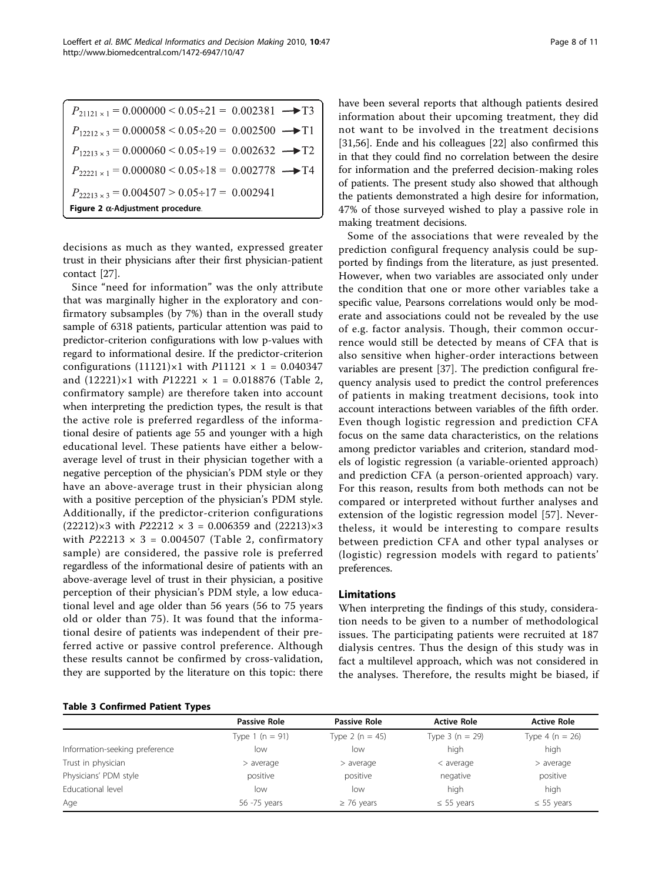<span id="page-7-0"></span>

| $P_{21121 \times 1} = 0.000000 < 0.05 \div 21 = 0.002381$ $\longrightarrow$ T3   |  |  |  |  |  |
|----------------------------------------------------------------------------------|--|--|--|--|--|
| $P_{12212\times3} = 0.000058 < 0.05 \div 20 = 0.002500$ $\rightarrow$ T1         |  |  |  |  |  |
| $P_{12213 \times 3} = 0.000060 < 0.05 \div 19 = 0.002632$ $\longrightarrow$ T2   |  |  |  |  |  |
| $P_{22221 \times 1} = 0.000080 \le 0.05 \div 18 = 0.002778$ $\longrightarrow$ T4 |  |  |  |  |  |
| $P_{22213\times3} = 0.004507 > 0.05 \div 17 = 0.002941$                          |  |  |  |  |  |
| Figure 2 $\alpha$ -Adjustment procedure.                                         |  |  |  |  |  |

decisions as much as they wanted, expressed greater trust in their physicians after their first physician-patient contact [[27\]](#page-9-0).

Since "need for information" was the only attribute that was marginally higher in the exploratory and confirmatory subsamples (by 7%) than in the overall study sample of 6318 patients, particular attention was paid to predictor-criterion configurations with low p-values with regard to informational desire. If the predictor-criterion configurations  $(11121)\times1$  with  $P11121 \times 1 = 0.040347$ and  $(12221)\times1$  with  $P12221 \times 1 = 0.018876$  (Table [2](#page-6-0), confirmatory sample) are therefore taken into account when interpreting the prediction types, the result is that the active role is preferred regardless of the informational desire of patients age 55 and younger with a high educational level. These patients have either a belowaverage level of trust in their physician together with a negative perception of the physician's PDM style or they have an above-average trust in their physician along with a positive perception of the physician's PDM style. Additionally, if the predictor-criterion configurations  $(22212)\times3$  with P22212  $\times$  3 = 0.006359 and  $(22213)\times3$ with  $P22213 \times 3 = 0.004507$  (Table [2,](#page-6-0) confirmatory sample) are considered, the passive role is preferred regardless of the informational desire of patients with an above-average level of trust in their physician, a positive perception of their physician's PDM style, a low educational level and age older than 56 years (56 to 75 years old or older than 75). It was found that the informational desire of patients was independent of their preferred active or passive control preference. Although these results cannot be confirmed by cross-validation, they are supported by the literature on this topic: there

#### Table 3 Confirmed Patient Types

have been several reports that although patients desired information about their upcoming treatment, they did not want to be involved in the treatment decisions [[31,](#page-9-0)[56\]](#page-10-0). Ende and his colleagues [\[22](#page-9-0)] also confirmed this in that they could find no correlation between the desire for information and the preferred decision-making roles of patients. The present study also showed that although the patients demonstrated a high desire for information, 47% of those surveyed wished to play a passive role in making treatment decisions.

Some of the associations that were revealed by the prediction configural frequency analysis could be supported by findings from the literature, as just presented. However, when two variables are associated only under the condition that one or more other variables take a specific value, Pearsons correlations would only be moderate and associations could not be revealed by the use of e.g. factor analysis. Though, their common occurrence would still be detected by means of CFA that is also sensitive when higher-order interactions between variables are present [\[37\]](#page-9-0). The prediction configural frequency analysis used to predict the control preferences of patients in making treatment decisions, took into account interactions between variables of the fifth order. Even though logistic regression and prediction CFA focus on the same data characteristics, on the relations among predictor variables and criterion, standard models of logistic regression (a variable-oriented approach) and prediction CFA (a person-oriented approach) vary. For this reason, results from both methods can not be compared or interpreted without further analyses and extension of the logistic regression model [[57\]](#page-10-0). Nevertheless, it would be interesting to compare results between prediction CFA and other typal analyses or (logistic) regression models with regard to patients' preferences.

## Limitations

When interpreting the findings of this study, consideration needs to be given to a number of methodological issues. The participating patients were recruited at 187 dialysis centres. Thus the design of this study was in fact a multilevel approach, which was not considered in the analyses. Therefore, the results might be biased, if

|                                | <b>Passive Role</b> | <b>Passive Role</b> | <b>Active Role</b> | <b>Active Role</b> |
|--------------------------------|---------------------|---------------------|--------------------|--------------------|
|                                | Type $1(n = 91)$    | Type $2(n = 45)$    | Type $3(n = 29)$   | Type $4(n = 26)$   |
| Information-seeking preference | low                 | low                 | high               | high               |
| Trust in physician             | $>$ average         | $>$ average         | $<$ average        | > average          |
| Physicians' PDM style          | positive            | positive            | negative           | positive           |
| Educational level              | low                 | low                 | high               | high               |
| Age                            | 56 -75 years        | $\geq$ 76 years     | $\leq$ 55 years    | $\leq$ 55 years    |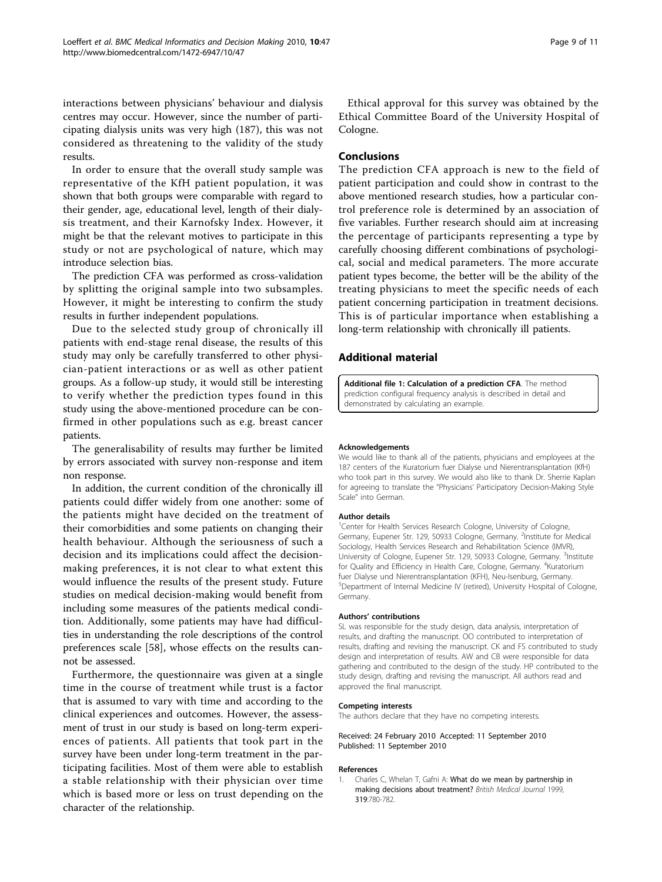<span id="page-8-0"></span>interactions between physicians' behaviour and dialysis centres may occur. However, since the number of participating dialysis units was very high (187), this was not considered as threatening to the validity of the study results.

In order to ensure that the overall study sample was representative of the KfH patient population, it was shown that both groups were comparable with regard to their gender, age, educational level, length of their dialysis treatment, and their Karnofsky Index. However, it might be that the relevant motives to participate in this study or not are psychological of nature, which may introduce selection bias.

The prediction CFA was performed as cross-validation by splitting the original sample into two subsamples. However, it might be interesting to confirm the study results in further independent populations.

Due to the selected study group of chronically ill patients with end-stage renal disease, the results of this study may only be carefully transferred to other physician-patient interactions or as well as other patient groups. As a follow-up study, it would still be interesting to verify whether the prediction types found in this study using the above-mentioned procedure can be confirmed in other populations such as e.g. breast cancer patients.

The generalisability of results may further be limited by errors associated with survey non-response and item non response.

In addition, the current condition of the chronically ill patients could differ widely from one another: some of the patients might have decided on the treatment of their comorbidities and some patients on changing their health behaviour. Although the seriousness of such a decision and its implications could affect the decisionmaking preferences, it is not clear to what extent this would influence the results of the present study. Future studies on medical decision-making would benefit from including some measures of the patients medical condition. Additionally, some patients may have had difficulties in understanding the role descriptions of the control preferences scale [[58\]](#page-10-0), whose effects on the results cannot be assessed.

Furthermore, the questionnaire was given at a single time in the course of treatment while trust is a factor that is assumed to vary with time and according to the clinical experiences and outcomes. However, the assessment of trust in our study is based on long-term experiences of patients. All patients that took part in the survey have been under long-term treatment in the participating facilities. Most of them were able to establish a stable relationship with their physician over time which is based more or less on trust depending on the character of the relationship.

Ethical approval for this survey was obtained by the Ethical Committee Board of the University Hospital of Cologne.

## Conclusions

The prediction CFA approach is new to the field of patient participation and could show in contrast to the above mentioned research studies, how a particular control preference role is determined by an association of five variables. Further research should aim at increasing the percentage of participants representing a type by carefully choosing different combinations of psychological, social and medical parameters. The more accurate patient types become, the better will be the ability of the treating physicians to meet the specific needs of each patient concerning participation in treatment decisions. This is of particular importance when establishing a long-term relationship with chronically ill patients.

## Additional material

[Additional file 1: C](http://www.biomedcentral.com/content/supplementary/1472-6947-10-47-S1.pdf)alculation of a prediction CFA. The method prediction configural frequency analysis is described in detail and demonstrated by calculating an example.

#### Acknowledgements

We would like to thank all of the patients, physicians and employees at the 187 centers of the Kuratorium fuer Dialyse und Nierentransplantation (KfH) who took part in this survey. We would also like to thank Dr. Sherrie Kaplan for agreeing to translate the "Physicians' Participatory Decision-Making Style Scale" into German.

#### Author details

<sup>1</sup> Center for Health Services Research Cologne, University of Cologne, Germany, Eupener Str. 129, 50933 Cologne, Germany. <sup>2</sup>Institute for Medical Sociology, Health Services Research and Rehabilitation Science (IMVR), University of Cologne, Eupener Str. 129, 50933 Cologne, Germany. <sup>3</sup>Institute for Quality and Efficiency in Health Care, Cologne, Germany. <sup>4</sup>Kuratorium fuer Dialyse und Nierentransplantation (KFH), Neu-Isenburg, Germany. 5 Department of Internal Medicine IV (retired), University Hospital of Cologne, Germany.

#### Authors' contributions

SL was responsible for the study design, data analysis, interpretation of results, and drafting the manuscript. OO contributed to interpretation of results, drafting and revising the manuscript. CK and FS contributed to study design and interpretation of results. AW and CB were responsible for data gathering and contributed to the design of the study. HP contributed to the study design, drafting and revising the manuscript. All authors read and approved the final manuscript.

#### Competing interests

The authors declare that they have no competing interests.

#### Received: 24 February 2010 Accepted: 11 September 2010 Published: 11 September 2010

#### References

1. Charles C, Whelan T, Gafni A: [What do we mean by partnership in](http://www.ncbi.nlm.nih.gov/pubmed/10488014?dopt=Abstract) [making decisions about treatment?](http://www.ncbi.nlm.nih.gov/pubmed/10488014?dopt=Abstract) British Medical Journal 1999, 319:780-782.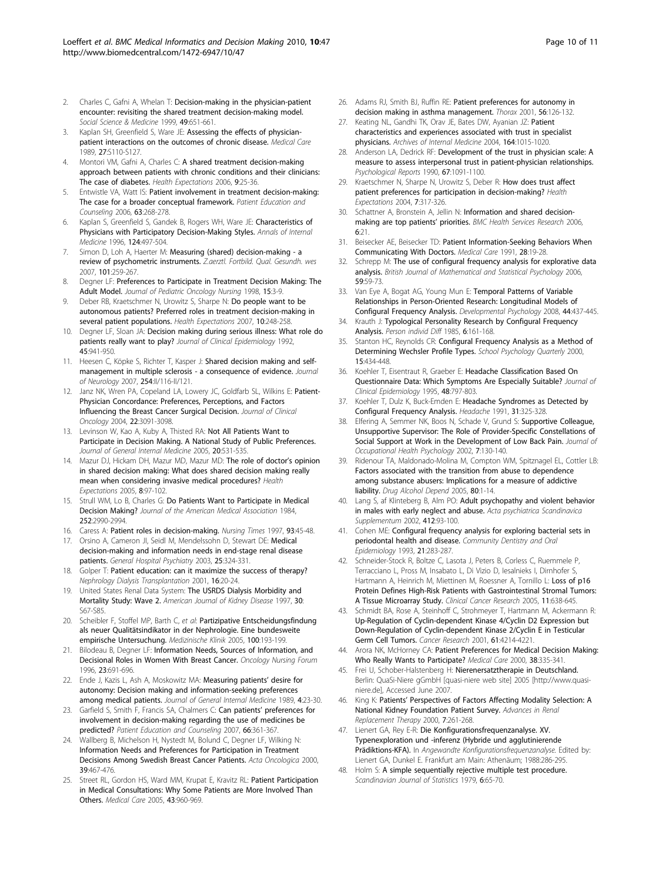- <span id="page-9-0"></span>2. Charles C, Gafni A, Whelan T: Decision-making in the physician-patient encounter: revisiting the shared treatment decision-making model. Social Science & Medicine 1999, 49:651-661.
- 3. Kaplan SH, Greenfield S, Ware JE: [Assessing the effects of physician](http://www.ncbi.nlm.nih.gov/pubmed/2646486?dopt=Abstract)[patient interactions on the outcomes of chronic disease.](http://www.ncbi.nlm.nih.gov/pubmed/2646486?dopt=Abstract) Medical Care 1989, 27:S110-S127.
- 4. Montori VM, Gafni A, Charles C: [A shared treatment decision-making](http://www.ncbi.nlm.nih.gov/pubmed/16436159?dopt=Abstract) [approach between patients with chronic conditions and their clinicians:](http://www.ncbi.nlm.nih.gov/pubmed/16436159?dopt=Abstract) [The case of diabetes.](http://www.ncbi.nlm.nih.gov/pubmed/16436159?dopt=Abstract) Health Expectations 2006, 9:25-36.
- 5. Entwistle VA, Watt IS: Patient involvement in treatment decision-making: The case for a broader conceptual framework. Patient Education and Counseling 2006, 63:268-278.
- Kaplan S, Greenfield S, Gandek B, Rogers WH, Ware JE: [Characteristics of](http://www.ncbi.nlm.nih.gov/pubmed/8602709?dopt=Abstract) [Physicians with Participatory Decision-Making Styles.](http://www.ncbi.nlm.nih.gov/pubmed/8602709?dopt=Abstract) Annals of Internal Medicine 1996, 124:497-504.
- 7. Simon D, Loh A, Haerter M: Measuring (shared) decision-making a review of psychometric instruments. Z.aerztl. Fortbild. Qual. Gesundh. wes 2007, 101:259-267.
- 8. Degner LF: [Preferences to Participate in Treatment Decision Making: The](http://www.ncbi.nlm.nih.gov/pubmed/9700236?dopt=Abstract) [Adult Model.](http://www.ncbi.nlm.nih.gov/pubmed/9700236?dopt=Abstract) Journal of Pediatric Oncology Nursing 1998, 15:3-9.
- 9. Deber RB, Kraetschmer N, Urowitz S, Sharpe N: [Do people want to be](http://www.ncbi.nlm.nih.gov/pubmed/17678513?dopt=Abstract) [autonomous patients? Preferred roles in treatment decision-making in](http://www.ncbi.nlm.nih.gov/pubmed/17678513?dopt=Abstract) [several patient populations.](http://www.ncbi.nlm.nih.gov/pubmed/17678513?dopt=Abstract) Health Expectations 2007, 10:248-258.
- 10. Degner LF, Sloan JA: [Decision making during serious illness: What role do](http://www.ncbi.nlm.nih.gov/pubmed/1432023?dopt=Abstract) [patients really want to play?](http://www.ncbi.nlm.nih.gov/pubmed/1432023?dopt=Abstract) Journal of Clinical Epidemiology 1992. 45:941-950.
- 11. Heesen C, Köpke S, Richter T, Kasper J: Shared decision making and selfmanagement in multiple sclerosis - a consequence of evidence. Journal of Neurology 2007, 254:II/116-II/121.
- 12. Janz NK, Wren PA, Copeland LA, Lowery JC, Goldfarb SL, Wilkins E: [Patient-](http://www.ncbi.nlm.nih.gov/pubmed/15284259?dopt=Abstract)[Physician Concordance: Preferences, Perceptions, and Factors](http://www.ncbi.nlm.nih.gov/pubmed/15284259?dopt=Abstract) [Influencing the Breast Cancer Surgical Decision.](http://www.ncbi.nlm.nih.gov/pubmed/15284259?dopt=Abstract) Journal of Clinical Oncology 2004, 22:3091-3098.
- 13. Levinson W, Kao A, Kuby A, Thisted RA: [Not All Patients Want to](http://www.ncbi.nlm.nih.gov/pubmed/15987329?dopt=Abstract) [Participate in Decision Making. A National Study of Public Preferences.](http://www.ncbi.nlm.nih.gov/pubmed/15987329?dopt=Abstract) Journal of General Internal Medicine 2005, 20:531-535.
- 14. Mazur DJ, Hickam DH, Mazur MD, Mazur MD: [The role of doctor](http://www.ncbi.nlm.nih.gov/pubmed/15860050?dopt=Abstract)'s opinion [in shared decision making: What does shared decision making really](http://www.ncbi.nlm.nih.gov/pubmed/15860050?dopt=Abstract) [mean when considering invasive medical procedures?](http://www.ncbi.nlm.nih.gov/pubmed/15860050?dopt=Abstract) Health Expectations 2005, 8:97-102.
- 15. Strull WM, Lo B, Charles G: [Do Patients Want to Participate in Medical](http://www.ncbi.nlm.nih.gov/pubmed/6502860?dopt=Abstract) [Decision Making?](http://www.ncbi.nlm.nih.gov/pubmed/6502860?dopt=Abstract) Journal of the American Medical Association 1984, 252:2990-2994.
- 16. Caress A: [Patient roles in decision-making.](http://www.ncbi.nlm.nih.gov/pubmed/9283451?dopt=Abstract) Nursing Times 1997, 93:45-48.
- 17. Orsino A, Cameron JI, Seidl M, Mendelssohn D, Stewart DE: [Medical](http://www.ncbi.nlm.nih.gov/pubmed/12972223?dopt=Abstract) [decision-making and information needs in end-stage renal disease](http://www.ncbi.nlm.nih.gov/pubmed/12972223?dopt=Abstract) [patients.](http://www.ncbi.nlm.nih.gov/pubmed/12972223?dopt=Abstract) General Hospital Psychiatry 2003, 25:324-331.
- 18. Golper T: Patient education: can it maximize the success of therapy? Nephrology Dialysis Transplantation 2001, 16:20-24.
- 19. United States Renal Data System: The USRDS Dialysis Morbidity and Mortality Study: Wave 2. American Journal of Kidney Disease 1997, 30: S67-S85.
- 20. Scheibler F, Stoffel MP, Barth C, et al: [Partizipative Entscheidungsfindung](http://www.ncbi.nlm.nih.gov/pubmed/15834528?dopt=Abstract) [als neuer Qualitätsindikator in der Nephrologie. Eine bundesweite](http://www.ncbi.nlm.nih.gov/pubmed/15834528?dopt=Abstract) [empirische Untersuchung.](http://www.ncbi.nlm.nih.gov/pubmed/15834528?dopt=Abstract) Medizinische Klinik 2005, 100:193-199.
- 21. Bilodeau B, Degner LF: [Information Needs, Sources of Information, and](http://www.ncbi.nlm.nih.gov/pubmed/8735327?dopt=Abstract) [Decisional Roles in Women With Breast Cancer.](http://www.ncbi.nlm.nih.gov/pubmed/8735327?dopt=Abstract) Oncology Nursing Forum 1996, 23:691-696.
- 22. Ende J, Kazis L, Ash A, Moskowitz MA: [Measuring patients](http://www.ncbi.nlm.nih.gov/pubmed/2644407?dopt=Abstract)' desire for [autonomy: Decision making and information-seeking preferences](http://www.ncbi.nlm.nih.gov/pubmed/2644407?dopt=Abstract) [among medical patients.](http://www.ncbi.nlm.nih.gov/pubmed/2644407?dopt=Abstract) Journal of General Internal Medicine 1989, 4:23-30.
- 23. Garfield S, Smith F, Francis SA, Chalmers C: Can patients' preferences for involvement in decision-making regarding the use of medicines be predicted? Patient Education and Counseling 2007, 66:361-367.
- 24. Wallberg B, Michelson H, Nystedt M, Bolund C, Degner LF, Wilking N: [Information Needs and Preferences for Participation in Treatment](http://www.ncbi.nlm.nih.gov/pubmed/11041108?dopt=Abstract) [Decisions Among Swedish Breast Cancer Patients.](http://www.ncbi.nlm.nih.gov/pubmed/11041108?dopt=Abstract) Acta Oncologica 2000, 39:467-476.
- 25. Street RL, Gordon HS, Ward MM, Krupat E, Kravitz RL: [Patient Participation](http://www.ncbi.nlm.nih.gov/pubmed/16166865?dopt=Abstract) [in Medical Consultations: Why Some Patients are More Involved Than](http://www.ncbi.nlm.nih.gov/pubmed/16166865?dopt=Abstract) [Others.](http://www.ncbi.nlm.nih.gov/pubmed/16166865?dopt=Abstract) Medical Care 2005, 43:960-969.
- 26. Adams RJ, Smith BJ, Ruffin RE: [Patient preferences for autonomy in](http://www.ncbi.nlm.nih.gov/pubmed/11209101?dopt=Abstract) [decision making in asthma management.](http://www.ncbi.nlm.nih.gov/pubmed/11209101?dopt=Abstract) Thorax 2001, 56:126-132.
- 27. Keating NL, Gandhi TK, Orav JE, Bates DW, Ayanian JZ: [Patient](http://www.ncbi.nlm.nih.gov/pubmed/15136312?dopt=Abstract) [characteristics and experiences associated with trust in specialist](http://www.ncbi.nlm.nih.gov/pubmed/15136312?dopt=Abstract) [physicians.](http://www.ncbi.nlm.nih.gov/pubmed/15136312?dopt=Abstract) Archives of Internal Medicine 2004, 164:1015-1020.
- 28. Anderson LA, Dedrick RF: [Development of the trust in physician scale: A](http://www.ncbi.nlm.nih.gov/pubmed/2084735?dopt=Abstract) [measure to assess interpersonal trust in patient-physician relationships.](http://www.ncbi.nlm.nih.gov/pubmed/2084735?dopt=Abstract) Psychological Reports 1990, 67:1091-1100.
- 29. Kraetschmer N, Sharpe N, Urowitz S, Deber R: [How does trust affect](http://www.ncbi.nlm.nih.gov/pubmed/15544684?dopt=Abstract) [patient preferences for participation in decision-making?](http://www.ncbi.nlm.nih.gov/pubmed/15544684?dopt=Abstract) Health Expectations 2004, 7:317-326.
- 30. Schattner A, Bronstein A, Jellin N: [Information and shared decision](http://www.ncbi.nlm.nih.gov/pubmed/16507096?dopt=Abstract)[making are top patients](http://www.ncbi.nlm.nih.gov/pubmed/16507096?dopt=Abstract)' priorities. BMC Health Services Research 2006, 6:21.
- 31. Beisecker AE, Beisecker TD: Patient Information-Seeking Behaviors When Communicating With Doctors. Medical Care 1991, 28:19-28.
- 32. Schrepp M: The use of configural frequency analysis for explorative data analysis. British Journal of Mathematical and Statistical Psychology 2006, 59:59-73.
- 33. Van Eye A, Bogat AG, Young Mun E: [Temporal Patterns of Variable](http://www.ncbi.nlm.nih.gov/pubmed/18331134?dopt=Abstract) [Relationships in Person-Oriented Research: Longitudinal Models of](http://www.ncbi.nlm.nih.gov/pubmed/18331134?dopt=Abstract) [Configural Frequency Analysis.](http://www.ncbi.nlm.nih.gov/pubmed/18331134?dopt=Abstract) Developmental Psychology 2008, 44:437-445.
- 34. Krauth J: Typological Personality Research by Configural Frequency Analysis. Person individ Diff 1985, 6:161-168.
- 35. Stanton HC, Reynolds CR: Configural Frequency Analysis as a Method of Determining Wechsler Profile Types. School Psychology Quarterly 2000, 15:434-448.
- 36. Koehler T, Eisentraut R, Graeber E: [Headache Classification Based On](http://www.ncbi.nlm.nih.gov/pubmed/7769410?dopt=Abstract) [Questionnaire Data: Which Symptoms Are Especially Suitable?](http://www.ncbi.nlm.nih.gov/pubmed/7769410?dopt=Abstract) Journal of Clinical Epidemiology 1995, 48:797-803.
- 37. Koehler T, Dulz K, Buck-Emden E: [Headache Syndromes as Detected by](http://www.ncbi.nlm.nih.gov/pubmed/1860792?dopt=Abstract) [Configural Frequency Analysis.](http://www.ncbi.nlm.nih.gov/pubmed/1860792?dopt=Abstract) Headache 1991, 31:325-328.
- 38. Elfering A, Semmer NK, Boos N, Schade V, Grund S: [Supportive Colleague,](http://www.ncbi.nlm.nih.gov/pubmed/12003365?dopt=Abstract) [Unsupportive Supervisor: The Role of Provider-Specific Constellations of](http://www.ncbi.nlm.nih.gov/pubmed/12003365?dopt=Abstract) [Social Support at Work in the Development of Low Back Pain.](http://www.ncbi.nlm.nih.gov/pubmed/12003365?dopt=Abstract) Journal of Occupational Health Psychology 2002, 7:130-140.
- 39. Ridenour TA, Maldonado-Molina M, Compton WM, Spitznagel EL, Cottler LB: [Factors associated with the transition from abuse to dependence](http://www.ncbi.nlm.nih.gov/pubmed/16157227?dopt=Abstract) [among substance abusers: Implications for a measure of addictive](http://www.ncbi.nlm.nih.gov/pubmed/16157227?dopt=Abstract) [liability.](http://www.ncbi.nlm.nih.gov/pubmed/16157227?dopt=Abstract) Drug Alcohol Depend 2005, 80:1-14.
- 40. Lang S, af Klinteberg B, Alm PO: [Adult psychopathy and violent behavior](http://www.ncbi.nlm.nih.gov/pubmed/12072136?dopt=Abstract) [in males with early neglect and abuse.](http://www.ncbi.nlm.nih.gov/pubmed/12072136?dopt=Abstract) Acta psychiatrica Scandinavica Supplementum 2002, 412:93-100.
- 41. Cohen ME: Configural frequency analysis for exploring bacterial sets in periodontal health and disease. Community Dentistry and Oral Epidemiology 1993, 21:283-287.
- 42. Schneider-Stock R, Boltze C, Lasota J, Peters B, Corless C, Ruemmele P, Terracciano L, Pross M, Insabato L, Di Vizio D, Iesalnieks I, Dirnhofer S, Hartmann A, Heinrich M, Miettinen M, Roessner A, Tornillo L: [Loss of p16](http://www.ncbi.nlm.nih.gov/pubmed/15701851?dopt=Abstract) [Protein Defines High-Risk Patients with Gastrointestinal Stromal Tumors:](http://www.ncbi.nlm.nih.gov/pubmed/15701851?dopt=Abstract) [A Tissue Microarray Study.](http://www.ncbi.nlm.nih.gov/pubmed/15701851?dopt=Abstract) Clinical Cancer Research 2005, 11:638-645.
- 43. Schmidt BA, Rose A, Steinhoff C, Strohmeyer T, Hartmann M, Ackermann R: [Up-Regulation of Cyclin-dependent Kinase 4/Cyclin D2 Expression but](http://www.ncbi.nlm.nih.gov/pubmed/11358847?dopt=Abstract) [Down-Regulation of Cyclin-dependent Kinase 2/Cyclin E in Testicular](http://www.ncbi.nlm.nih.gov/pubmed/11358847?dopt=Abstract) [Germ Cell Tumors.](http://www.ncbi.nlm.nih.gov/pubmed/11358847?dopt=Abstract) Cancer Research 2001, 61:4214-4221.
- 44. Arora NK, McHorney CA: [Patient Preferences for Medical Decision Making:](http://www.ncbi.nlm.nih.gov/pubmed/10718358?dopt=Abstract) [Who Really Wants to Participate?](http://www.ncbi.nlm.nih.gov/pubmed/10718358?dopt=Abstract) Medical Care 2000, 38:335-341.
- 45. Frei U, Schober-Halstenberg H: Nierenersatztherapie in Deutschland. Berlin: QuaSi-Niere gGmbH [quasi-niere web site] 2005 [[http://www.quasi](http://www.quasi-niere.de)[niere.de](http://www.quasi-niere.de)], Accessed June 2007.
- 46. King K: Patients' [Perspectives of Factors Affecting Modality Selection: A](http://www.ncbi.nlm.nih.gov/pubmed/10926114?dopt=Abstract) [National Kidney Foundation Patient Survey.](http://www.ncbi.nlm.nih.gov/pubmed/10926114?dopt=Abstract) Advances in Renal Replacement Therapy 2000, 7:261-268.
- 47. Lienert GA, Rey E-R: Die Konfigurationsfrequenzanalyse. XV. Typenexploration und -inferenz (Hybride und agglutinierende Prädiktions-KFA). In Angewandte Konfigurationsfrequenzanalyse. Edited by: Lienert GA, Dunkel E. Frankfurt am Main: Athenäum; 1988:286-295.
- Holm S: A simple sequentially rejective multiple test procedure. Scandinavian Journal of Statistics 1979, 6:65-70.